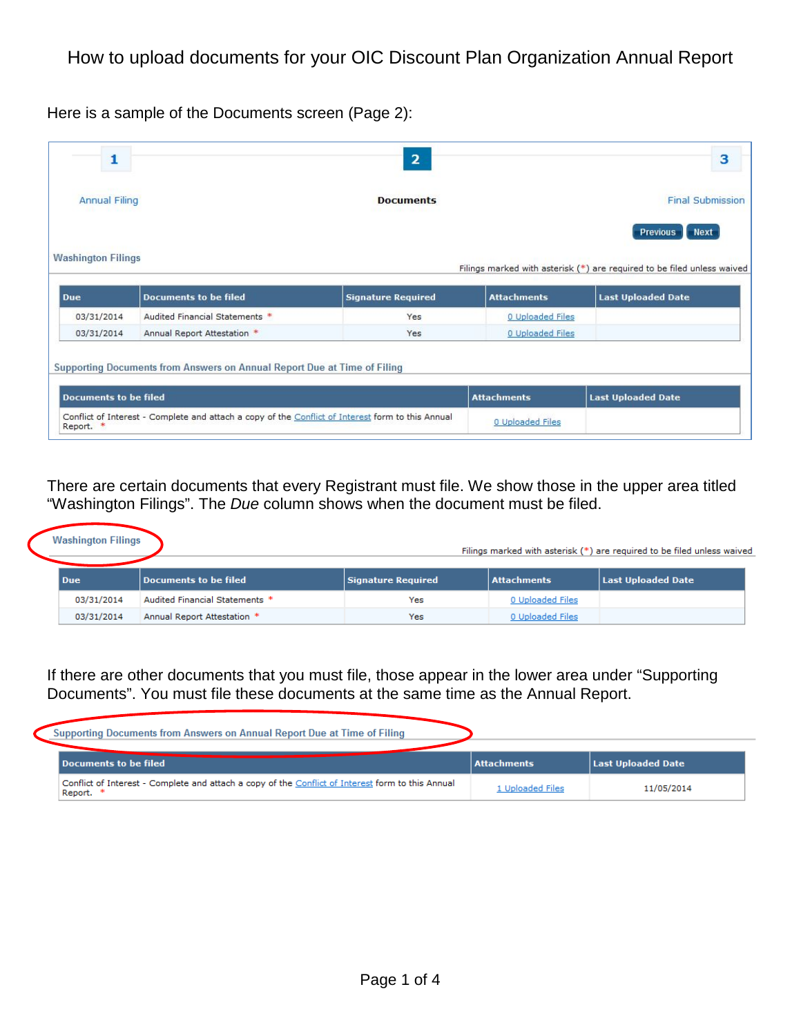Here is a sample of the Documents screen (Page 2):

| <b>Final Submission</b><br><b>Next</b><br><b>Previous</b><br>Filings marked with asterisk (*) are required to be filed unless waived |
|--------------------------------------------------------------------------------------------------------------------------------------|
|                                                                                                                                      |
|                                                                                                                                      |
| <b>Last Uploaded Date</b>                                                                                                            |
|                                                                                                                                      |
|                                                                                                                                      |
|                                                                                                                                      |

There are certain documents that every Registrant must file. We show those in the upper area titled "Washington Filings". The *Due* column shows when the document must be filed.

| <b>Washington Filings</b> |                                |                           |                  | Filings marked with asterisk (*) are required to be filed unless waived |
|---------------------------|--------------------------------|---------------------------|------------------|-------------------------------------------------------------------------|
| <b>Due</b>                | Documents to be filed          | <b>Signature Required</b> | Attachments      | Last Uploaded Date                                                      |
| 03/31/2014                | Audited Financial Statements * | Yes                       | 0 Uploaded Files |                                                                         |
| 03/31/2014                | Annual Report Attestation *    | Yes                       | 0 Uploaded Files |                                                                         |

If there are other documents that you must file, those appear in the lower area under "Supporting Documents". You must file these documents at the same time as the Annual Report.

| Supporting Documents from Answers on Annual Report Due at Time of Filing                                       |                |                    |
|----------------------------------------------------------------------------------------------------------------|----------------|--------------------|
| Documents to be filed                                                                                          | Attachments    | Last Uploaded Date |
| Conflict of Interest - Complete and attach a copy of the Conflict of Interest form to this Annual<br>Report. * | Uploaded Files | 11/05/2014         |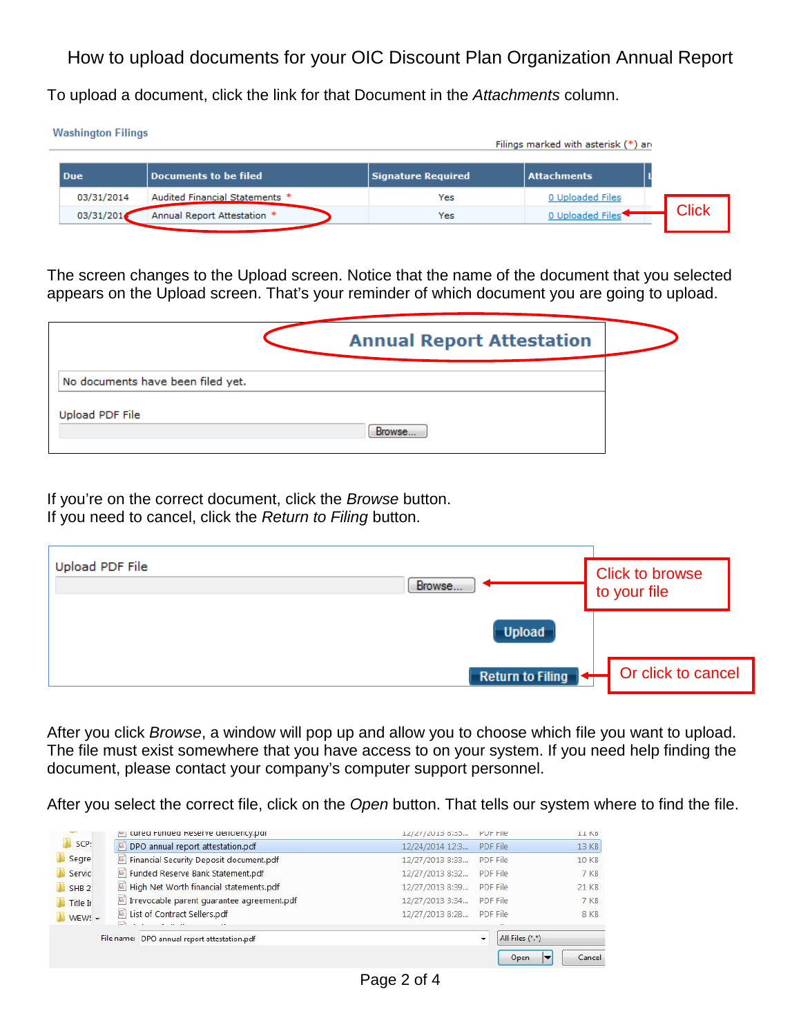To upload a document, click the link for that Document in the *Attachments* column.

| <b>Washington Filings</b> |                                |                    | Filings marked with asterisk (*) an |              |
|---------------------------|--------------------------------|--------------------|-------------------------------------|--------------|
| Due                       | Documents to be filed          | Signature Required | <b>Attachments</b>                  |              |
| 03/31/2014                | Audited Financial Statements * | Yes                | 0 Uploaded Files                    |              |
| 03/31/2014                | Annual Report Attestation *    | Yes                | 0 Uploaded Files                    | <b>Click</b> |

The screen changes to the Upload screen. Notice that the name of the document that you selected appears on the Upload screen. That's your reminder of which document you are going to upload.

|                                   | <b>Annual Report Attestation</b> |  |
|-----------------------------------|----------------------------------|--|
| No documents have been filed yet. |                                  |  |
| Upload PDF File                   | Browse                           |  |

If you're on the correct document, click the *Browse* button. If you need to cancel, click the *Return to Filing* button.

| Upload PDF File | Browse                  | <b>Click to browse</b><br>to your file |
|-----------------|-------------------------|----------------------------------------|
|                 | <b>Upload</b>           |                                        |
|                 | <b>Return to Filing</b> | Or click to cancel                     |

After you click *Browse*, a window will pop up and allow you to choose which file you want to upload. The file must exist somewhere that you have access to on your system. If you need help finding the document, please contact your company's computer support personnel.

After you select the correct file, click on the *Open* button. That tells our system where to find the file.

|                  | <b>PET CUTED FUNDED RESERVE DENCIENCY.DOI</b>                                       | 12/21/2013 8:33 | <b>PUF FIIE</b>      | <b>II KB</b> |
|------------------|-------------------------------------------------------------------------------------|-----------------|----------------------|--------------|
| SCP:             | DPO annual report attestation.pdf<br>固                                              | 12/24/2014 12:3 | PDF File             | 13 KB        |
| Segre            | Financial Security Deposit document.pdf<br>$\overline{\mathbb{Z}}$                  | 12/27/2013 8:33 | PDF File             | 10 KB        |
| Servic           | Funded Reserve Bank Statement.pdf                                                   | 12/27/2013 8:32 | PDF File             | 7 KB         |
| SHB <sub>2</sub> | High Net Worth financial statements.pdf                                             | 12/27/2013 8:39 | PDF File             | 21 KB        |
| Title In         | Irrevocable parent quarantee agreement.pdf                                          | 12/27/2013 3:34 | PDF File             | 7 KB         |
| $WEW: -$         | List of Contract Sellers.pdf<br><b>Contract</b><br><b>COLLECTION</b><br>$ -$<br>co. | 12/27/2013 8:28 | PDF File             | 8 KB         |
|                  | File name: DPO annual report attestation.pdf                                        |                 | All Files (*.*)<br>۰ |              |
|                  |                                                                                     |                 | Open<br>E            | Cancel       |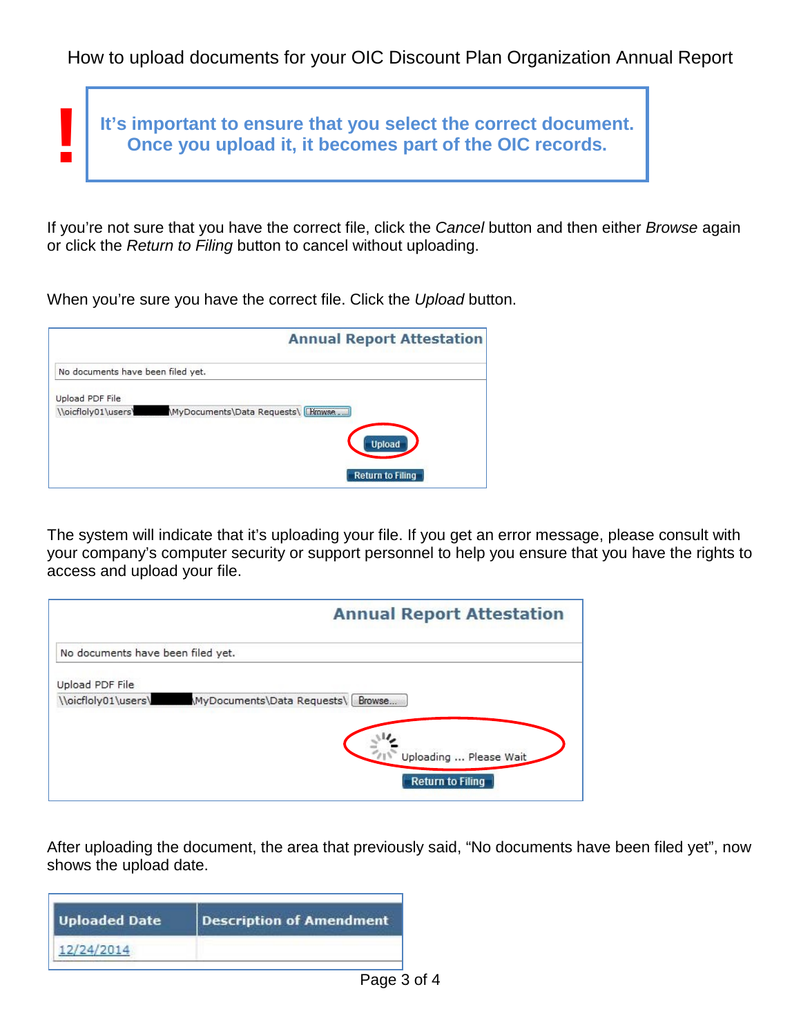

If you're not sure that you have the correct file, click the *Cancel* button and then either *Browse* again or click the *Return to Filing* button to cancel without uploading.

When you're sure you have the correct file. Click the *Upload* button.

|                                   | <b>Annual Report Attestation</b>   |
|-----------------------------------|------------------------------------|
| No documents have been filed yet. |                                    |
| Upload PDF File                   |                                    |
| \\oicfloly01\users\               | MyDocuments\Data Requests\ [Hmwse] |
|                                   | <b>Upload</b>                      |
|                                   | <b>Return to Filing</b>            |

The system will indicate that it's uploading your file. If you get an error message, please consult with your company's computer security or support personnel to help you ensure that you have the rights to access and upload your file.

|                                   | <b>Annual Report Attestation</b>                  |
|-----------------------------------|---------------------------------------------------|
| No documents have been filed yet. |                                                   |
| Upload PDF File                   |                                                   |
| \\oicfloly01\users\               | MyDocuments\Data Requests\ Browse                 |
|                                   | Uploading  Please Wait<br><b>Return to Filing</b> |

After uploading the document, the area that previously said, "No documents have been filed yet", now shows the upload date.

| <b>Uploaded Date</b> | <b>Description of Amendment</b> |
|----------------------|---------------------------------|
| 12/24/2014           |                                 |